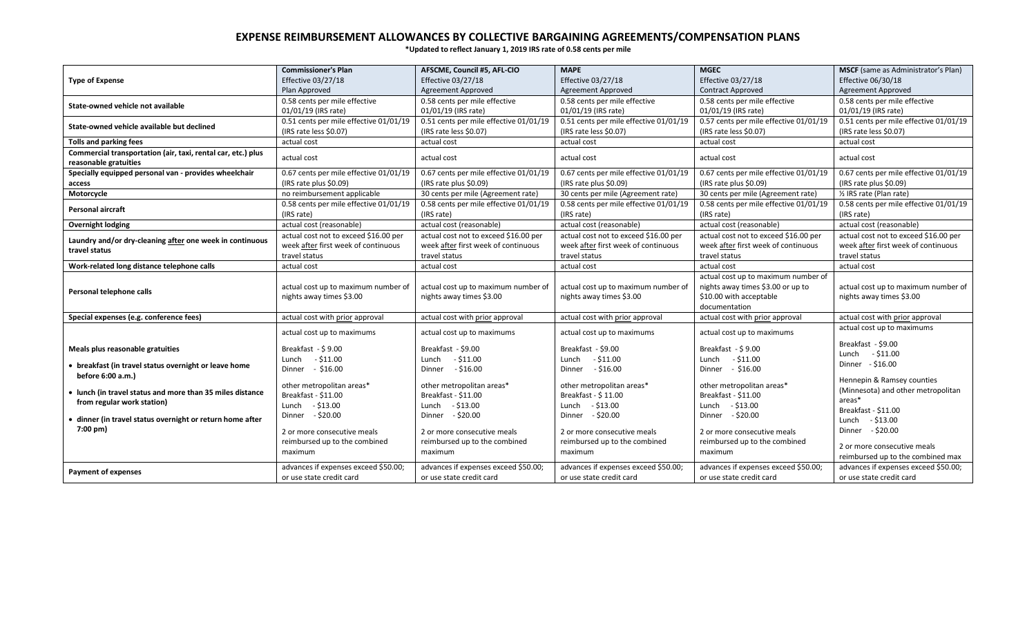## **EXPENSE REIMBURSEMENT ALLOWANCES BY COLLECTIVE BARGAINING AGREEMENTS/COMPENSATION PLANS**

**\*Updated to reflect January 1, 2019 IRS rate of 0.58 cents per mile**

|                                                                                       | <b>Commissioner's Plan</b>                                      | AFSCME, Council #5, AFL-CIO                                     | <b>MAPE</b>                                                     | <b>MGEC</b>                                                                                                          | <b>MSCF</b> (same as Administrator's Plan)                       |
|---------------------------------------------------------------------------------------|-----------------------------------------------------------------|-----------------------------------------------------------------|-----------------------------------------------------------------|----------------------------------------------------------------------------------------------------------------------|------------------------------------------------------------------|
| <b>Type of Expense</b>                                                                | Effective 03/27/18                                              | Effective 03/27/18                                              | Effective 03/27/18                                              | <b>Effective 03/27/18</b>                                                                                            | Effective 06/30/18                                               |
|                                                                                       | Plan Approved                                                   | <b>Agreement Approved</b>                                       | <b>Agreement Approved</b>                                       | <b>Contract Approved</b>                                                                                             | <b>Agreement Approved</b>                                        |
| State-owned vehicle not available                                                     | 0.58 cents per mile effective                                   | 0.58 cents per mile effective                                   | 0.58 cents per mile effective                                   | 0.58 cents per mile effective                                                                                        | 0.58 cents per mile effective                                    |
|                                                                                       | 01/01/19 (IRS rate)                                             | 01/01/19 (IRS rate)                                             | 01/01/19 (IRS rate)                                             | 01/01/19 (IRS rate)                                                                                                  | 01/01/19 (IRS rate)                                              |
| State-owned vehicle available but declined                                            | 0.51 cents per mile effective 01/01/19                          | 0.51 cents per mile effective 01/01/19                          | 0.51 cents per mile effective 01/01/19                          | 0.57 cents per mile effective 01/01/19                                                                               | 0.51 cents per mile effective 01/01/19                           |
|                                                                                       | (IRS rate less \$0.07)                                          | (IRS rate less \$0.07)                                          | (IRS rate less \$0.07)                                          | (IRS rate less \$0.07)                                                                                               | (IRS rate less \$0.07)                                           |
| Tolls and parking fees                                                                | actual cost                                                     | actual cost                                                     | actual cost                                                     | actual cost                                                                                                          | actual cost                                                      |
| Commercial transportation (air, taxi, rental car, etc.) plus<br>reasonable gratuities | actual cost                                                     | actual cost                                                     | actual cost                                                     | actual cost                                                                                                          | actual cost                                                      |
| Specially equipped personal van - provides wheelchair                                 | 0.67 cents per mile effective 01/01/19                          | 0.67 cents per mile effective 01/01/19                          | 0.67 cents per mile effective 01/01/19                          | 0.67 cents per mile effective 01/01/19                                                                               | 0.67 cents per mile effective 01/01/19                           |
| access                                                                                | (IRS rate plus \$0.09)                                          | (IRS rate plus \$0.09)                                          | (IRS rate plus \$0.09)                                          | (IRS rate plus \$0.09)                                                                                               | (IRS rate plus \$0.09)                                           |
| Motorcycle                                                                            | no reimbursement applicable                                     | 30 cents per mile (Agreement rate)                              | 30 cents per mile (Agreement rate)                              | 30 cents per mile (Agreement rate)                                                                                   | 1/2 IRS rate (Plan rate)                                         |
|                                                                                       | 0.58 cents per mile effective 01/01/19                          | 0.58 cents per mile effective 01/01/19                          | 0.58 cents per mile effective 01/01/19                          | 0.58 cents per mile effective 01/01/19                                                                               | 0.58 cents per mile effective 01/01/19                           |
| Personal aircraft                                                                     | (IRS rate)                                                      | (IRS rate)                                                      | (IRS rate)                                                      | (IRS rate)                                                                                                           | (IRS rate)                                                       |
| <b>Overnight lodging</b>                                                              | actual cost (reasonable)                                        | actual cost (reasonable)                                        | actual cost (reasonable)                                        | actual cost (reasonable)                                                                                             | actual cost (reasonable)                                         |
| Laundry and/or dry-cleaning after one week in continuous                              | actual cost not to exceed \$16.00 per                           | actual cost not to exceed \$16.00 per                           | actual cost not to exceed \$16.00 per                           | actual cost not to exceed \$16.00 per                                                                                | actual cost not to exceed \$16.00 per                            |
| travel status                                                                         | week after first week of continuous                             | week after first week of continuous                             | week after first week of continuous                             | week after first week of continuous                                                                                  | week after first week of continuous                              |
|                                                                                       | travel status                                                   | travel status                                                   | travel status                                                   | travel status                                                                                                        | travel status                                                    |
| Work-related long distance telephone calls                                            | actual cost                                                     | actual cost                                                     | actual cost                                                     | actual cost                                                                                                          | actual cost                                                      |
| Personal telephone calls                                                              | actual cost up to maximum number of<br>nights away times \$3.00 | actual cost up to maximum number of<br>nights away times \$3.00 | actual cost up to maximum number of<br>nights away times \$3.00 | actual cost up to maximum number of<br>nights away times \$3.00 or up to<br>\$10.00 with acceptable<br>documentation | actual cost up to maximum number of<br>nights away times \$3.00  |
| Special expenses (e.g. conference fees)                                               | actual cost with prior approval                                 | actual cost with prior approval                                 | actual cost with prior approval                                 | actual cost with prior approval                                                                                      | actual cost with prior approval                                  |
|                                                                                       | actual cost up to maximums                                      | actual cost up to maximums                                      | actual cost up to maximums                                      | actual cost up to maximums                                                                                           | actual cost up to maximums                                       |
| Meals plus reasonable gratuities                                                      | Breakfast - \$9.00                                              | Breakfast - \$9.00                                              | Breakfast - \$9.00                                              | Breakfast - \$9.00                                                                                                   | Breakfast - \$9.00                                               |
|                                                                                       | Lunch - \$11.00                                                 | $-$ \$11.00<br>Lunch                                            | $-$ \$11.00<br>Lunch                                            | Lunch - \$11.00                                                                                                      | $-$ \$11.00<br>Lunch                                             |
| • breakfast (in travel status overnight or leave home                                 | Dinner - \$16.00                                                | $-$ \$16.00<br>Dinner                                           | Dinner - \$16.00                                                | Dinner - \$16.00                                                                                                     | Dinner - \$16.00                                                 |
| before 6:00 a.m.)                                                                     |                                                                 |                                                                 |                                                                 |                                                                                                                      | Hennepin & Ramsey counties                                       |
| • lunch (in travel status and more than 35 miles distance                             | other metropolitan areas*                                       | other metropolitan areas*                                       | other metropolitan areas*                                       | other metropolitan areas*                                                                                            | (Minnesota) and other metropolitan                               |
| from regular work station)                                                            | Breakfast - \$11.00                                             | Breakfast - \$11.00                                             | Breakfast - \$11.00                                             | Breakfast - \$11.00                                                                                                  | areas*                                                           |
|                                                                                       | Lunch $- $13.00$<br>Dinner - \$20.00                            | Lunch - \$13.00<br>Dinner - \$20.00                             | Lunch - \$13.00<br>Dinner - \$20.00                             | Lunch - \$13.00                                                                                                      | Breakfast - \$11.00                                              |
| dinner (in travel status overnight or return home after                               |                                                                 |                                                                 |                                                                 | Dinner - \$20.00                                                                                                     | $-$ \$13.00<br>Lunch                                             |
| 7:00 pm)                                                                              | 2 or more consecutive meals                                     | 2 or more consecutive meals                                     | 2 or more consecutive meals                                     | 2 or more consecutive meals                                                                                          | Dinner - \$20.00                                                 |
|                                                                                       | reimbursed up to the combined                                   | reimbursed up to the combined                                   | reimbursed up to the combined                                   | reimbursed up to the combined                                                                                        |                                                                  |
|                                                                                       | maximum                                                         | maximum                                                         | maximum                                                         | maximum                                                                                                              | 2 or more consecutive meals<br>reimbursed up to the combined max |
|                                                                                       | advances if expenses exceed \$50.00;                            | advances if expenses exceed \$50.00;                            | advances if expenses exceed \$50.00;                            | advances if expenses exceed \$50.00;                                                                                 | advances if expenses exceed \$50.00;                             |
| <b>Payment of expenses</b>                                                            | or use state credit card                                        | or use state credit card                                        | or use state credit card                                        | or use state credit card                                                                                             | or use state credit card                                         |